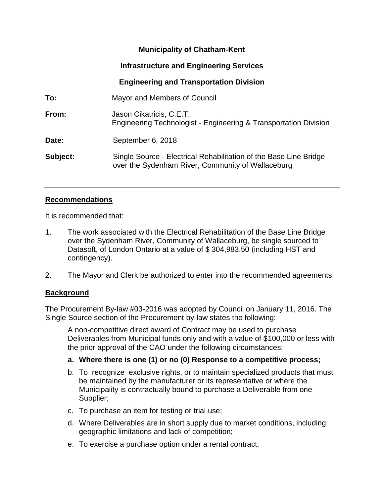# **Municipality of Chatham-Kent**

# **Infrastructure and Engineering Services**

# **Engineering and Transportation Division**

| To:      | Mayor and Members of Council                                                                                           |  |
|----------|------------------------------------------------------------------------------------------------------------------------|--|
| From:    | Jason Cikatricis, C.E.T.,<br>Engineering Technologist - Engineering & Transportation Division                          |  |
| Date:    | September 6, 2018                                                                                                      |  |
| Subject: | Single Source - Electrical Rehabilitation of the Base Line Bridge<br>over the Sydenham River, Community of Wallaceburg |  |

### **Recommendations**

It is recommended that:

- 1. The work associated with the Electrical Rehabilitation of the Base Line Bridge over the Sydenham River, Community of Wallaceburg, be single sourced to Datasoft, of London Ontario at a value of \$ 304,983.50 (including HST and contingency).
- 2. The Mayor and Clerk be authorized to enter into the recommended agreements.

### **Background**

The Procurement By-law #03-2016 was adopted by Council on January 11, 2016. The Single Source section of the Procurement by-law states the following:

A non-competitive direct award of Contract may be used to purchase Deliverables from Municipal funds only and with a value of \$100,000 or less with the prior approval of the CAO under the following circumstances:

### **a. Where there is one (1) or no (0) Response to a competitive process;**

- b. To recognize exclusive rights, or to maintain specialized products that must be maintained by the manufacturer or its representative or where the Municipality is contractually bound to purchase a Deliverable from one Supplier;
- c. To purchase an item for testing or trial use;
- d. Where Deliverables are in short supply due to market conditions, including geographic limitations and lack of competition;
- e. To exercise a purchase option under a rental contract;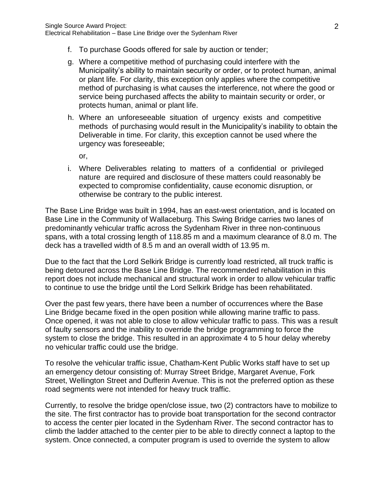- f. To purchase Goods offered for sale by auction or tender;
- g. Where a competitive method of purchasing could interfere with the Municipality's ability to maintain security or order, or to protect human, animal or plant life. For clarity, this exception only applies where the competitive method of purchasing is what causes the interference, not where the good or service being purchased affects the ability to maintain security or order, or protects human, animal or plant life.
- h. Where an unforeseeable situation of urgency exists and competitive methods of purchasing would result in the Municipality's inability to obtain the Deliverable in time. For clarity, this exception cannot be used where the urgency was foreseeable;

or,

i. Where Deliverables relating to matters of a confidential or privileged nature are required and disclosure of these matters could reasonably be expected to compromise confidentiality, cause economic disruption, or otherwise be contrary to the public interest.

The Base Line Bridge was built in 1994, has an east-west orientation, and is located on Base Line in the Community of Wallaceburg. This Swing Bridge carries two lanes of predominantly vehicular traffic across the Sydenham River in three non-continuous spans, with a total crossing length of 118.85 m and a maximum clearance of 8.0 m. The deck has a travelled width of 8.5 m and an overall width of 13.95 m.

Due to the fact that the Lord Selkirk Bridge is currently load restricted, all truck traffic is being detoured across the Base Line Bridge. The recommended rehabilitation in this report does not include mechanical and structural work in order to allow vehicular traffic to continue to use the bridge until the Lord Selkirk Bridge has been rehabilitated.

Over the past few years, there have been a number of occurrences where the Base Line Bridge became fixed in the open position while allowing marine traffic to pass. Once opened, it was not able to close to allow vehicular traffic to pass. This was a result of faulty sensors and the inability to override the bridge programming to force the system to close the bridge. This resulted in an approximate 4 to 5 hour delay whereby no vehicular traffic could use the bridge.

To resolve the vehicular traffic issue, Chatham-Kent Public Works staff have to set up an emergency detour consisting of: Murray Street Bridge, Margaret Avenue, Fork Street, Wellington Street and Dufferin Avenue. This is not the preferred option as these road segments were not intended for heavy truck traffic.

Currently, to resolve the bridge open/close issue, two (2) contractors have to mobilize to the site. The first contractor has to provide boat transportation for the second contractor to access the center pier located in the Sydenham River. The second contractor has to climb the ladder attached to the center pier to be able to directly connect a laptop to the system. Once connected, a computer program is used to override the system to allow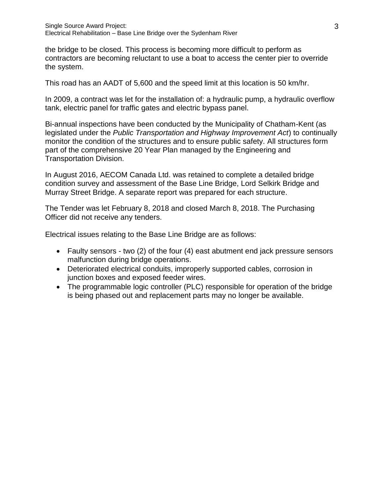the bridge to be closed. This process is becoming more difficult to perform as contractors are becoming reluctant to use a boat to access the center pier to override the system.

This road has an AADT of 5,600 and the speed limit at this location is 50 km/hr.

In 2009, a contract was let for the installation of: a hydraulic pump, a hydraulic overflow tank, electric panel for traffic gates and electric bypass panel.

Bi-annual inspections have been conducted by the Municipality of Chatham-Kent (as legislated under the *Public Transportation and Highway Improvement Act*) to continually monitor the condition of the structures and to ensure public safety. All structures form part of the comprehensive 20 Year Plan managed by the Engineering and Transportation Division.

In August 2016, AECOM Canada Ltd. was retained to complete a detailed bridge condition survey and assessment of the Base Line Bridge, Lord Selkirk Bridge and Murray Street Bridge. A separate report was prepared for each structure.

The Tender was let February 8, 2018 and closed March 8, 2018. The Purchasing Officer did not receive any tenders.

Electrical issues relating to the Base Line Bridge are as follows:

- Faulty sensors two (2) of the four (4) east abutment end jack pressure sensors malfunction during bridge operations.
- Deteriorated electrical conduits, improperly supported cables, corrosion in junction boxes and exposed feeder wires.
- The programmable logic controller (PLC) responsible for operation of the bridge is being phased out and replacement parts may no longer be available.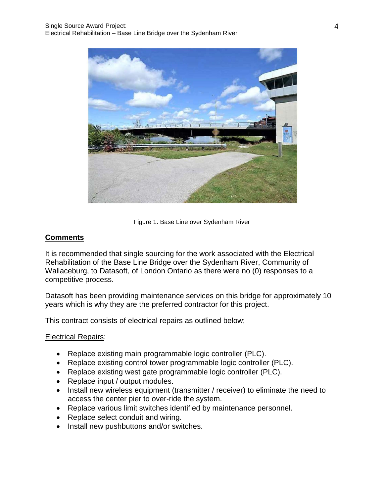

Figure 1. Base Line over Sydenham River

# **Comments**

It is recommended that single sourcing for the work associated with the Electrical Rehabilitation of the Base Line Bridge over the Sydenham River, Community of Wallaceburg, to Datasoft, of London Ontario as there were no (0) responses to a competitive process.

Datasoft has been providing maintenance services on this bridge for approximately 10 years which is why they are the preferred contractor for this project.

This contract consists of electrical repairs as outlined below;

#### Electrical Repairs:

- Replace existing main programmable logic controller (PLC).
- Replace existing control tower programmable logic controller (PLC).
- Replace existing west gate programmable logic controller (PLC).
- Replace input / output modules.
- Install new wireless equipment (transmitter / receiver) to eliminate the need to access the center pier to over-ride the system.
- Replace various limit switches identified by maintenance personnel.
- Replace select conduit and wiring.
- Install new pushbuttons and/or switches.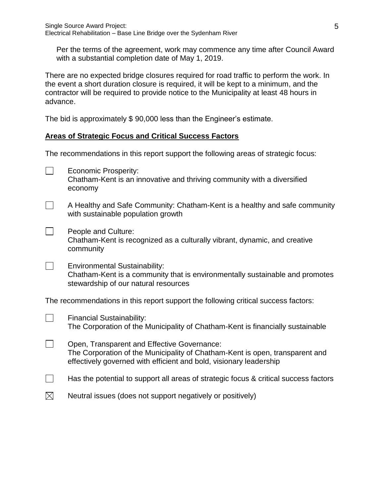Per the terms of the agreement, work may commence any time after Council Award with a substantial completion date of May 1, 2019.

There are no expected bridge closures required for road traffic to perform the work. In the event a short duration closure is required, it will be kept to a minimum, and the contractor will be required to provide notice to the Municipality at least 48 hours in advance.

The bid is approximately \$ 90,000 less than the Engineer's estimate.

# **Areas of Strategic Focus and Critical Success Factors**

The recommendations in this report support the following areas of strategic focus:

| $\overline{\phantom{a}}$                                                           | <b>Economic Prosperity:</b><br>Chatham-Kent is an innovative and thriving community with a diversified<br>economy                                                                                 |  |
|------------------------------------------------------------------------------------|---------------------------------------------------------------------------------------------------------------------------------------------------------------------------------------------------|--|
| $\overline{\phantom{a}}$                                                           | A Healthy and Safe Community: Chatham-Kent is a healthy and safe community<br>with sustainable population growth                                                                                  |  |
| $\overline{\phantom{a}}$                                                           | People and Culture:<br>Chatham-Kent is recognized as a culturally vibrant, dynamic, and creative<br>community                                                                                     |  |
| $\Box$                                                                             | <b>Environmental Sustainability:</b><br>Chatham-Kent is a community that is environmentally sustainable and promotes<br>stewardship of our natural resources                                      |  |
| The recommendations in this report support the following critical success factors: |                                                                                                                                                                                                   |  |
| $\overline{\phantom{a}}$                                                           | <b>Financial Sustainability:</b><br>The Corporation of the Municipality of Chatham-Kent is financially sustainable                                                                                |  |
| $\overline{\phantom{a}}$                                                           | Open, Transparent and Effective Governance:<br>The Corporation of the Municipality of Chatham-Kent is open, transparent and<br>effectively governed with efficient and bold, visionary leadership |  |
|                                                                                    | Has the potential to support all areas of strategic focus & critical success factors                                                                                                              |  |

 $\boxtimes$ Neutral issues (does not support negatively or positively)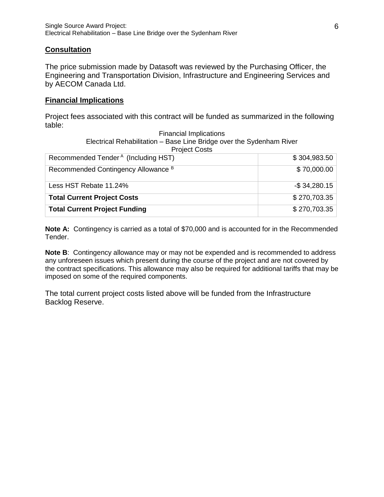# **Consultation**

The price submission made by Datasoft was reviewed by the Purchasing Officer, the Engineering and Transportation Division, Infrastructure and Engineering Services and by AECOM Canada Ltd.

#### **Financial Implications**

Project fees associated with this contract will be funded as summarized in the following table:

| <b>Financial Implications</b>                                        |                  |  |  |  |
|----------------------------------------------------------------------|------------------|--|--|--|
| Electrical Rehabilitation - Base Line Bridge over the Sydenham River |                  |  |  |  |
| <b>Project Costs</b>                                                 |                  |  |  |  |
| Recommended Tender <sup>A</sup> (Including HST)                      | \$304,983.50     |  |  |  |
| Recommended Contingency Allowance B                                  | \$70,000.00      |  |  |  |
| Less HST Rebate 11.24%                                               | $-$ \$ 34,280.15 |  |  |  |
| <b>Total Current Project Costs</b>                                   | \$270,703.35     |  |  |  |
| <b>Total Current Project Funding</b>                                 | \$270,703.35     |  |  |  |

**Note A:** Contingency is carried as a total of \$70,000 and is accounted for in the Recommended Tender.

**Note B**: Contingency allowance may or may not be expended and is recommended to address any unforeseen issues which present during the course of the project and are not covered by the contract specifications. This allowance may also be required for additional tariffs that may be imposed on some of the required components.

The total current project costs listed above will be funded from the Infrastructure Backlog Reserve.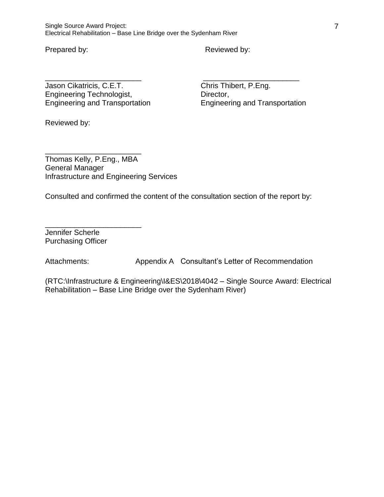Single Source Award Project: Electrical Rehabilitation – Base Line Bridge over the Sydenham River

Prepared by: Reviewed by:

Jason Cikatricis, C.E.T. Chris Thibert, P.Eng. Engineering Technologist,<br>
Engineering and Transportation<br>
Engineering and Transportation<br>
Engineering and Transportation Engineering and Transportation Engineering and Transportation

Reviewed by:

\_\_\_\_\_\_\_\_\_\_\_\_\_\_\_\_\_\_\_\_\_\_\_ Thomas Kelly, P.Eng., MBA General Manager Infrastructure and Engineering Services

Consulted and confirmed the content of the consultation section of the report by:

\_\_\_\_\_\_\_\_\_\_\_\_\_\_\_\_\_\_\_\_\_\_\_ \_\_\_\_\_\_\_\_\_\_\_\_\_\_\_\_\_\_\_\_\_\_\_

\_\_\_\_\_\_\_\_\_\_\_\_\_\_\_\_\_\_\_\_\_\_\_ Jennifer Scherle Purchasing Officer

Attachments: Appendix A Consultant's Letter of Recommendation

(RTC:\Infrastructure & Engineering\I&ES\2018\4042 – Single Source Award: Electrical Rehabilitation – Base Line Bridge over the Sydenham River)